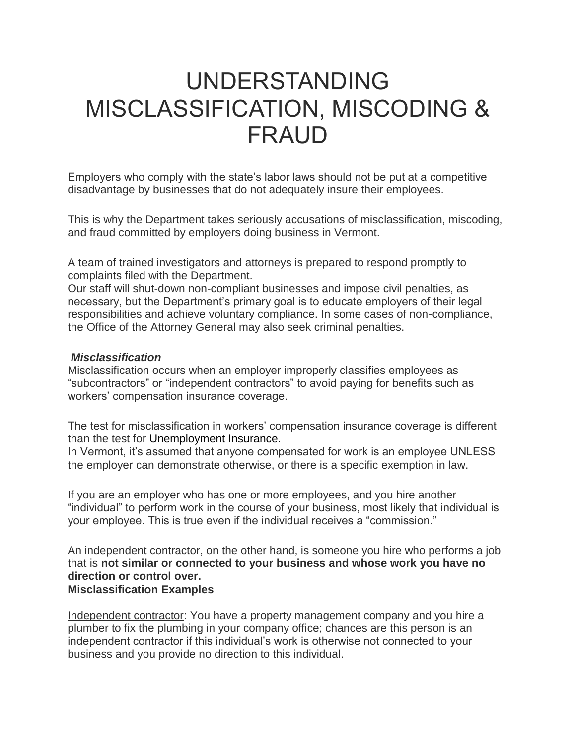# UNDERSTANDING MISCLASSIFICATION, MISCODING & FRAUD

Employers who comply with the state's labor laws should not be put at a competitive disadvantage by businesses that do not adequately insure their employees.

This is why the Department takes seriously accusations of misclassification, miscoding, and fraud committed by employers doing business in Vermont.

A team of trained investigators and attorneys is prepared to respond promptly to complaints filed with the Department.

Our staff will shut-down non-compliant businesses and impose civil penalties, as necessary, but the Department's primary goal is to educate employers of their legal responsibilities and achieve voluntary compliance. In some cases of non-compliance, the Office of the Attorney General may also seek criminal penalties.

#### *Misclassification*

Misclassification occurs when an employer improperly classifies employees as "subcontractors" or "independent contractors" to avoid paying for benefits such as workers' compensation insurance coverage.

The test for misclassification in workers' compensation insurance coverage is different than the test for Unemployment Insurance.

In Vermont, it's assumed that anyone compensated for work is an employee UNLESS the employer can demonstrate otherwise, or there is a specific exemption in law.

If you are an employer who has one or more employees, and you hire another "individual" to perform work in the course of your business, most likely that individual is your employee. This is true even if the individual receives a "commission."

An independent contractor, on the other hand, is someone you hire who performs a job that is **not similar or connected to your business and whose work you have no direction or control over. Misclassification Examples**

Independent contractor: You have a property management company and you hire a plumber to fix the plumbing in your company office; chances are this person is an independent contractor if this individual's work is otherwise not connected to your business and you provide no direction to this individual.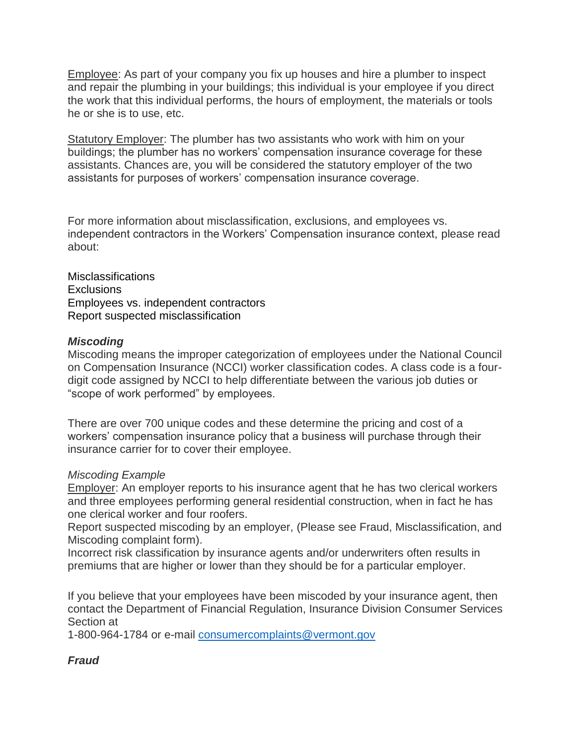Employee: As part of your company you fix up houses and hire a plumber to inspect and repair the plumbing in your buildings; this individual is your employee if you direct the work that this individual performs, the hours of employment, the materials or tools he or she is to use, etc.

Statutory Employer: The plumber has two assistants who work with him on your buildings; the plumber has no workers' compensation insurance coverage for these assistants. Chances are, you will be considered the statutory employer of the two assistants for purposes of workers' compensation insurance coverage.

For more information about misclassification, exclusions, and employees vs. independent contractors in the Workers' Compensation insurance context, please read about:

Misclassifications **Exclusions** Employees vs. independent contractors Report suspected misclassification

### *Miscoding*

Miscoding means the improper categorization of employees under the National Council on Compensation Insurance (NCCI) worker classification codes. A class code is a fourdigit code assigned by NCCI to help differentiate between the various job duties or "scope of work performed" by employees.

There are over 700 unique codes and these determine the pricing and cost of a workers' compensation insurance policy that a business will purchase through their insurance carrier for to cover their employee.

### *Miscoding Example*

Employer: An employer reports to his insurance agent that he has two clerical workers and three employees performing general residential construction, when in fact he has one clerical worker and four roofers.

Report suspected miscoding by an employer, (Please see Fraud, Misclassification, and Miscoding complaint form).

Incorrect risk classification by insurance agents and/or underwriters often results in premiums that are higher or lower than they should be for a particular employer.

If you believe that your employees have been miscoded by your insurance agent, then contact the Department of Financial Regulation, Insurance Division Consumer Services Section at

1-800-964-1784 or e-mail [consumercomplaints@vermont.gov](mailto:consumercomplaints@vermont.gov?subject=Miscoding%20)

## *Fraud*